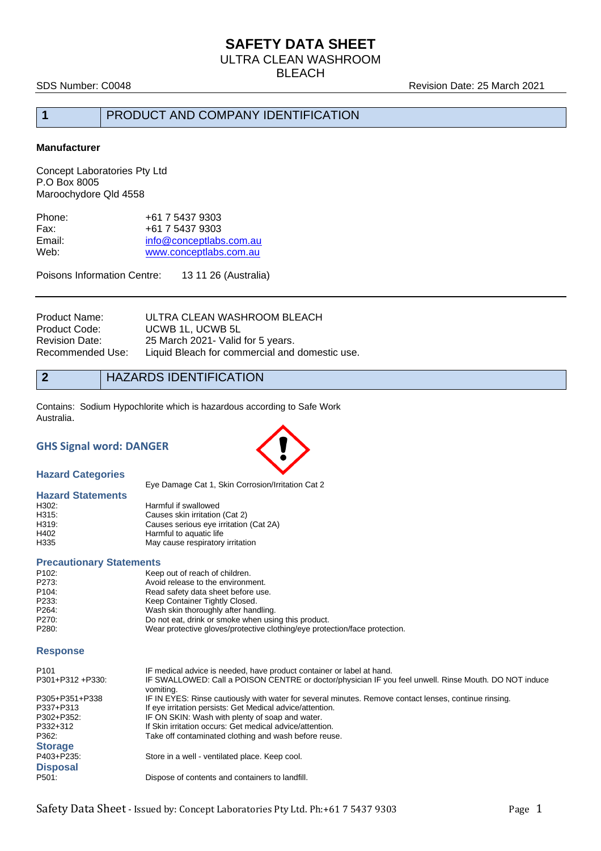# **SAFETY DATA SHEET**

ULTRA CLEAN WASHROOM

**BLEACH** 

SDS Number: C0048 **Revision Date: 25 March 2021** 

### **1** PRODUCT AND COMPANY IDENTIFICATION

#### **Manufacturer**

Concept Laboratories Pty Ltd P.O Box 8005 Maroochydore Qld 4558

| +61 7 5437 9303         |
|-------------------------|
| +61 7 5437 9303         |
| info@conceptlabs.com.au |
| www.conceptlabs.com.au  |
|                         |

Poisons Information Centre: 13 11 26 (Australia)

| Product Name:    | ULTRA CLEAN WASHROOM BLEACH                    |
|------------------|------------------------------------------------|
| Product Code:    | UCWB 1L, UCWB 5L                               |
| Revision Date:   | 25 March 2021 - Valid for 5 years.             |
| Recommended Use: | Liquid Bleach for commercial and domestic use. |
|                  |                                                |

**2** HAZARDS IDENTIFICATION

Contains: Sodium Hypochlorite which is hazardous according to Safe Work Australia.

### **GHS Signal word: DANGER**



**Hazard Categories**

Eye Damage Cat 1, Skin Corrosion/Irritation Cat 2

#### **Hazard Statements**

| H302: | Harmful if swallowed                   |
|-------|----------------------------------------|
| H315: | Causes skin irritation (Cat 2)         |
| H319: | Causes serious eye irritation (Cat 2A) |
| H402  | Harmful to aquatic life                |
| H335  | May cause respiratory irritation       |

#### **Precautionary Statements**

| P <sub>102</sub> : | Keep out of reach of children.                                             |
|--------------------|----------------------------------------------------------------------------|
| P273:              | Avoid release to the environment.                                          |
| P <sub>104</sub> : | Read safety data sheet before use.                                         |
| P233.              | Keep Container Tightly Closed.                                             |
| P264:              | Wash skin thoroughly after handling.                                       |
| P270:              | Do not eat, drink or smoke when using this product.                        |
| P280:              | Wear protective gloves/protective clothing/eye protection/face protection. |

#### **Response**

| P <sub>101</sub>   | IF medical advice is needed, have product container or label at hand.                                              |
|--------------------|--------------------------------------------------------------------------------------------------------------------|
| P301+P312 +P330:   | IF SWALLOWED: Call a POISON CENTRE or doctor/physician IF you feel unwell. Rinse Mouth. DO NOT induce<br>vomiting. |
| P305+P351+P338     | IF IN EYES: Rinse cautiously with water for several minutes. Remove contact lenses, continue rinsing.              |
| P337+P313          | If eye irritation persists: Get Medical advice/attention.                                                          |
| P302+P352:         | IF ON SKIN: Wash with plenty of soap and water.                                                                    |
| P332+312           | If Skin irritation occurs: Get medical advice/attention.                                                           |
| P362:              | Take off contaminated clothing and wash before reuse.                                                              |
| <b>Storage</b>     |                                                                                                                    |
| P403+P235:         | Store in a well - ventilated place. Keep cool.                                                                     |
| <b>Disposal</b>    |                                                                                                                    |
| P <sub>501</sub> : | Dispose of contents and containers to landfill.                                                                    |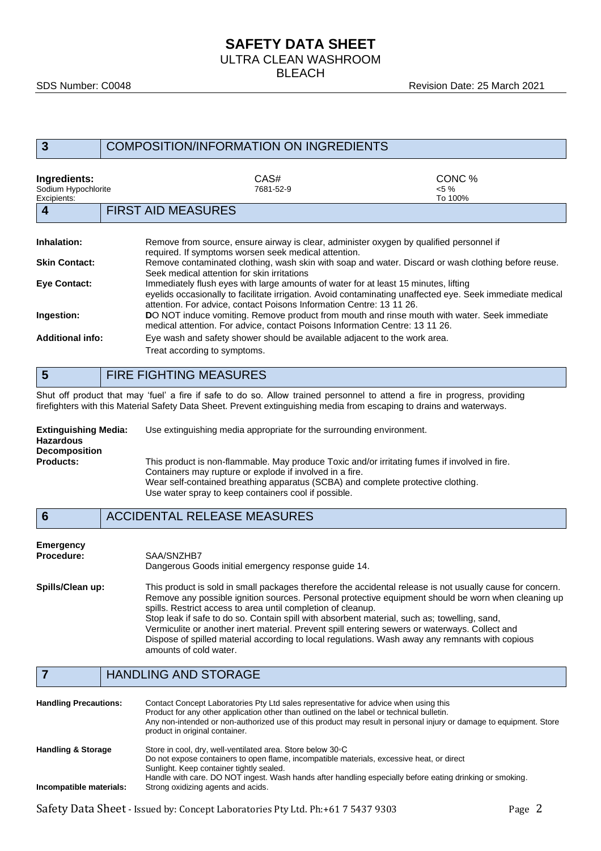# **SAFETY DATA SHEET**

ULTRA CLEAN WASHROOM

**BLEACH** 

| 3                                                  | <b>COMPOSITION/INFORMATION ON INGREDIENTS</b>                                                                                                                                                                                                                            |                               |  |
|----------------------------------------------------|--------------------------------------------------------------------------------------------------------------------------------------------------------------------------------------------------------------------------------------------------------------------------|-------------------------------|--|
| Ingredients:<br>Sodium Hypochlorite<br>Excipients: | CAS#<br>7681-52-9                                                                                                                                                                                                                                                        | CONC %<br>$< 5 \%$<br>To 100% |  |
| 4                                                  | <b>FIRST AID MEASURES</b>                                                                                                                                                                                                                                                |                               |  |
| Inhalation:                                        | Remove from source, ensure airway is clear, administer oxygen by qualified personnel if<br>required. If symptoms worsen seek medical attention.                                                                                                                          |                               |  |
| <b>Skin Contact:</b>                               | Remove contaminated clothing, wash skin with soap and water. Discard or wash clothing before reuse.<br>Seek medical attention for skin irritations                                                                                                                       |                               |  |
| <b>Eve Contact:</b>                                | Immediately flush eyes with large amounts of water for at least 15 minutes, lifting<br>eyelids occasionally to facilitate irrigation. Avoid contaminating unaffected eye. Seek immediate medical<br>attention. For advice, contact Poisons Information Centre: 13 11 26. |                               |  |
| Ingestion:                                         | DO NOT induce vomiting. Remove product from mouth and rinse mouth with water. Seek immediate<br>medical attention. For advice, contact Poisons Information Centre: 13 11 26.                                                                                             |                               |  |
| <b>Additional info:</b>                            | Eye wash and safety shower should be available adjacent to the work area.<br>Treat according to symptoms.                                                                                                                                                                |                               |  |

# **5** FIRE FIGHTING MEASURES

Shut off product that may 'fuel' a fire if safe to do so. Allow trained personnel to attend a fire in progress, providing firefighters with this Material Safety Data Sheet. Prevent extinguishing media from escaping to drains and waterways.

| <b>Extinguishing Media:</b><br><b>Hazardous</b> | Use extinguishing media appropriate for the surrounding environment.                                                                                                                                                                          |
|-------------------------------------------------|-----------------------------------------------------------------------------------------------------------------------------------------------------------------------------------------------------------------------------------------------|
| <b>Decomposition</b>                            |                                                                                                                                                                                                                                               |
| <b>Products:</b>                                | This product is non-flammable. May produce Toxic and/or irritating fumes if involved in fire.<br>Containers may rupture or explode if involved in a fire.<br>Wear self-contained breathing apparatus (SCBA) and complete protective clothing. |
|                                                 | Use water spray to keep containers cool if possible.                                                                                                                                                                                          |

**6** ACCIDENTAL RELEASE MEASURES

| Emergency        | SAA/SNZHB7                                                                                                                                                                                                                                                                                                                                                                                                                                                                                                                                                                                                      |
|------------------|-----------------------------------------------------------------------------------------------------------------------------------------------------------------------------------------------------------------------------------------------------------------------------------------------------------------------------------------------------------------------------------------------------------------------------------------------------------------------------------------------------------------------------------------------------------------------------------------------------------------|
| Procedure:       | Dangerous Goods initial emergency response guide 14.                                                                                                                                                                                                                                                                                                                                                                                                                                                                                                                                                            |
| Spills/Clean up: | This product is sold in small packages therefore the accidental release is not usually cause for concern.<br>Remove any possible ignition sources. Personal protective equipment should be worn when cleaning up<br>spills. Restrict access to area until completion of cleanup.<br>Stop leak if safe to do so. Contain spill with absorbent material, such as; towelling, sand,<br>Vermiculite or another inert material. Prevent spill entering sewers or waterways. Collect and<br>Dispose of spilled material according to local regulations. Wash away any remnants with copious<br>amounts of cold water. |

### **7** HANDLING AND STORAGE

| <b>Handling Precautions:</b>  | Contact Concept Laboratories Pty Ltd sales representative for advice when using this<br>Product for any other application other than outlined on the label or technical bulletin.<br>Any non-intended or non-authorized use of this product may result in personal injury or damage to equipment. Store<br>product in original container. |
|-------------------------------|-------------------------------------------------------------------------------------------------------------------------------------------------------------------------------------------------------------------------------------------------------------------------------------------------------------------------------------------|
| <b>Handling &amp; Storage</b> | Store in cool, dry, well-ventilated area. Store below 30 °C<br>Do not expose containers to open flame, incompatible materials, excessive heat, or direct<br>Sunlight. Keep container tightly sealed.                                                                                                                                      |
| Incompatible materials:       | Handle with care. DO NOT ingest. Wash hands after handling especially before eating drinking or smoking.<br>Strong oxidizing agents and acids.                                                                                                                                                                                            |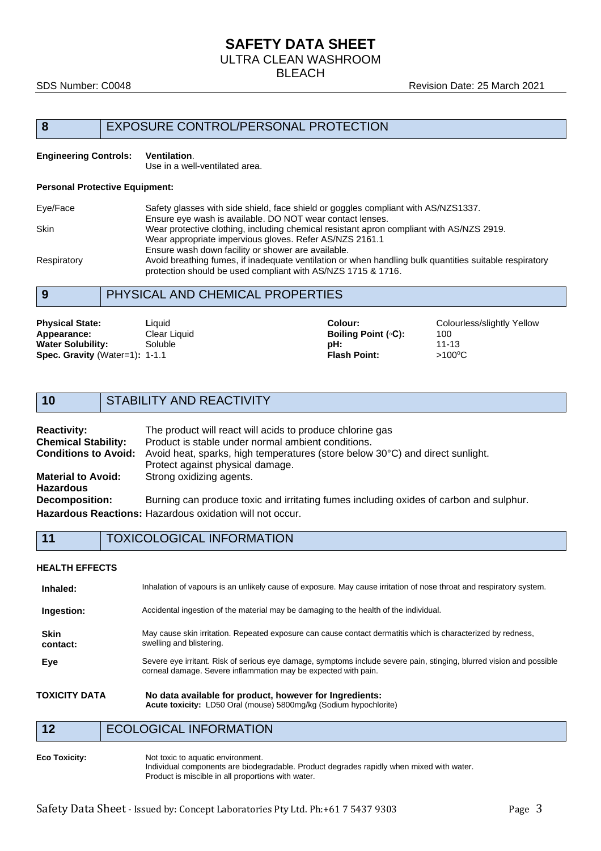# **SAFETY DATA SHEET**

ULTRA CLEAN WASHROOM

BLEACH

#### SDS Number: C0048 **Revision Date: 25 March 2021**

### **8** EXPOSURE CONTROL/PERSONAL PROTECTION

#### **Engineering Controls: Ventilation**.

Use in a well-ventilated area.

#### **Personal Protective Equipment:**

| Eye/Face    | Safety glasses with side shield, face shield or goggles compliant with AS/NZS1337.                     |
|-------------|--------------------------------------------------------------------------------------------------------|
|             | Ensure eye wash is available. DO NOT wear contact lenses.                                              |
| <b>Skin</b> | Wear protective clothing, including chemical resistant apron compliant with AS/NZS 2919.               |
|             | Wear appropriate impervious gloves. Refer AS/NZS 2161.1                                                |
|             | Ensure wash down facility or shower are available.                                                     |
| Respiratory | Avoid breathing fumes, if inadequate ventilation or when handling bulk quantities suitable respiratory |
|             | protection should be used compliant with AS/NZS 1715 & 1716.                                           |

## **9** PHYSICAL AND CHEMICAL PROPERTIES

| <b>Physical State:</b>         | Liauid       | Colour:             | Colourless/slightly Yellow |
|--------------------------------|--------------|---------------------|----------------------------|
| Appearance:                    | Clear Liquid | Boiling Point (∘C): | 100                        |
| <b>Water Solubility:</b>       | Soluble      | pH:                 | $11 - 13$                  |
| Spec. Gravity (Water=1): 1-1.1 |              | <b>Flash Point:</b> | $>100^{\circ}$ C           |

### **10** STABILITY AND REACTIVITY

| <b>Reactivity:</b><br><b>Chemical Stability:</b> | The product will react will acids to produce chlorine gas<br>Product is stable under normal ambient conditions. |
|--------------------------------------------------|-----------------------------------------------------------------------------------------------------------------|
|                                                  |                                                                                                                 |
| <b>Conditions to Avoid:</b>                      | Avoid heat, sparks, high temperatures (store below 30°C) and direct sunlight.                                   |
|                                                  | Protect against physical damage.                                                                                |
| <b>Material to Avoid:</b>                        | Strong oxidizing agents.                                                                                        |
| <b>Hazardous</b>                                 |                                                                                                                 |
| <b>Decomposition:</b>                            | Burning can produce toxic and irritating fumes including oxides of carbon and sulphur.                          |
|                                                  | <b>Hazardous Reactions: Hazardous oxidation will not occur.</b>                                                 |

**11** TOXICOLOGICAL INFORMATION

#### **HEALTH EFFECTS**

| Inhaled:                | Inhalation of vapours is an unlikely cause of exposure. May cause irritation of nose throat and respiratory system.                                                                    |
|-------------------------|----------------------------------------------------------------------------------------------------------------------------------------------------------------------------------------|
| Ingestion:              | Accidental ingestion of the material may be damaging to the health of the individual.                                                                                                  |
| <b>Skin</b><br>contact: | May cause skin irritation. Repeated exposure can cause contact dermatitis which is characterized by redness,<br>swelling and blistering.                                               |
| Eye                     | Severe eye irritant. Risk of serious eye damage, symptoms include severe pain, stinging, blurred vision and possible<br>corneal damage. Severe inflammation may be expected with pain. |
| TOXICITY DATA           | No data available for product, however for Ingredients:<br>Acute toxicity: LD50 Oral (mouse) 5800mg/kg (Sodium hypochlorite)                                                           |

12 ECOLOGICAL INFORMATION

**Eco Toxicity:** Not toxic to aquatic environment. Individual components are biodegradable. Product degrades rapidly when mixed with water. Product is miscible in all proportions with water.